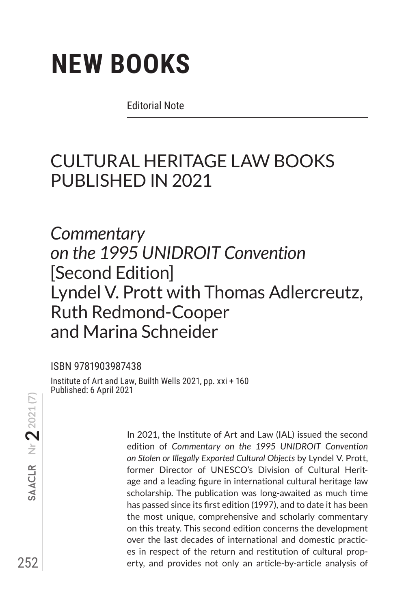Editorial Note

# CULTURAL HERITAGE LAW BOOKS PUBLISHED IN 2021

*Commentary on the 1995 UNIDROIT Convention* [Second Edition] Lyndel V. Prott with Thomas Adlercreutz, Ruth Redmond-Cooper and Marina Schneider

### ISBN 9781903987438

Institute of Art and Law, Builth Wells 2021, pp. xxi + 160 Published: 6 April 2021

**252**<br>252<br>252  $\texttt{AACLR}$  Nr  $\textbf{2}$  2021 (7)

In 2021, the Institute of Art and Law (IAL) issued the second edition of *Commentary on the 1995 UNIDROIT Convention on Stolen or Illegally Exported Cultural Objects* by Lyndel V. Prott, former Director of UNESCO's Division of Cultural Heritage and a leading figure in international cultural heritage law scholarship. The publication was long-awaited as much time has passed since its first edition (1997), and to date it has been the most unique, comprehensive and scholarly commentary on this treaty. This second edition concerns the development over the last decades of international and domestic practices in respect of the return and restitution of cultural property, and provides not only an article-by-article analysis of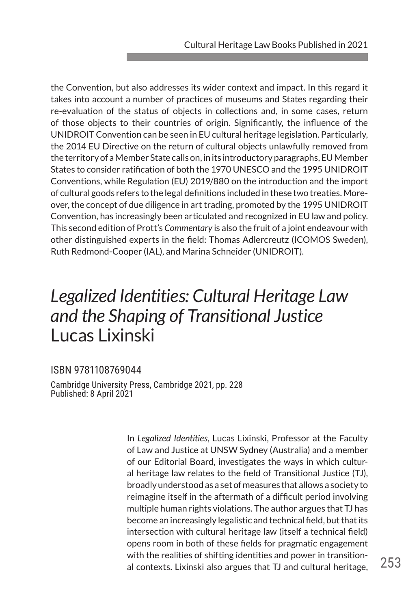the Convention, but also addresses its wider context and impact. In this regard it takes into account a number of practices of museums and States regarding their re-evaluation of the status of objects in collections and, in some cases, return of those objects to their countries of origin. Significantly, the influence of the UNIDROIT Convention can be seen in EU cultural heritage legislation. Particularly, the 2014 EU Directive on the return of cultural objects unlawfully removed from the territory of a Member State calls on, in its introductory paragraphs, EU Member States to consider ratification of both the 1970 UNESCO and the 1995 UNIDROIT Conventions, while Regulation (EU) 2019/880 on the introduction and the import of cultural goods refers to the legal definitions included in these two treaties. Moreover, the concept of due diligence in art trading, promoted by the 1995 UNIDROIT Convention, has increasingly been articulated and recognized in EU law and policy. This second edition of Prott's *Commentary* is also the fruit of a joint endeavour with other distinguished experts in the field: Thomas Adlercreutz (ICOMOS Sweden), Ruth Redmond-Cooper (IAL), and Marina Schneider (UNIDROIT).

# *Legalized Identities: Cultural Heritage Law and the Shaping of Transitional Justice* Lucas Lixinski

#### ISBN 9781108769044

Cambridge University Press, Cambridge 2021, pp. 228 Published: 8 April 2021

> In *Legalized Identities*, Lucas Lixinski, Professor at the Faculty of Law and Justice at UNSW Sydney (Australia) and a member of our Editorial Board, investigates the ways in which cultural heritage law relates to the field of Transitional Justice (TJ), broadly understood as a set of measures that allows a society to reimagine itself in the aftermath of a difficult period involving multiple human rights violations. The author argues that TJ has become an increasingly legalistic and technical field, but that its intersection with cultural heritage law (itself a technical field) opens room in both of these fields for pragmatic engagement with the realities of shifting identities and power in transitional contexts. Lixinski also argues that TJ and cultural heritage,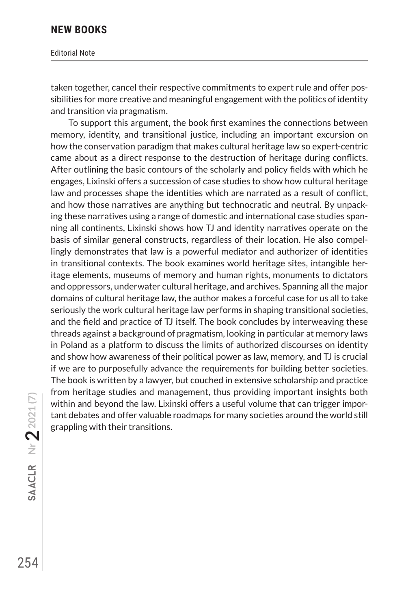#### Editorial Note

taken together, cancel their respective commitments to expert rule and offer possibilities for more creative and meaningful engagement with the politics of identity and transition via pragmatism.

To support this argument, the book first examines the connections between memory, identity, and transitional justice, including an important excursion on how the conservation paradigm that makes cultural heritage law so expert-centric came about as a direct response to the destruction of heritage during conflicts. After outlining the basic contours of the scholarly and policy fields with which he engages, Lixinski offers a succession of case studies to show how cultural heritage law and processes shape the identities which are narrated as a result of conflict, and how those narratives are anything but technocratic and neutral. By unpacking these narratives using a range of domestic and international case studies spanning all continents, Lixinski shows how TJ and identity narratives operate on the basis of similar general constructs, regardless of their location. He also compellingly demonstrates that law is a powerful mediator and authorizer of identities in transitional contexts. The book examines world heritage sites, intangible heritage elements, museums of memory and human rights, monuments to dictators and oppressors, underwater cultural heritage, and archives. Spanning all the major domains of cultural heritage law, the author makes a forceful case for us all to take seriously the work cultural heritage law performs in shaping transitional societies, and the field and practice of TJ itself. The book concludes by interweaving these threads against a background of pragmatism, looking in particular at memory laws in Poland as a platform to discuss the limits of authorized discourses on identity and show how awareness of their political power as law, memory, and TJ is crucial if we are to purposefully advance the requirements for building better societies. The book is written by a lawyer, but couched in extensive scholarship and practice from heritage studies and management, thus providing important insights both within and beyond the law. Lixinski offers a useful volume that can trigger important debates and offer valuable roadmaps for many societies around the world still grappling with their transitions.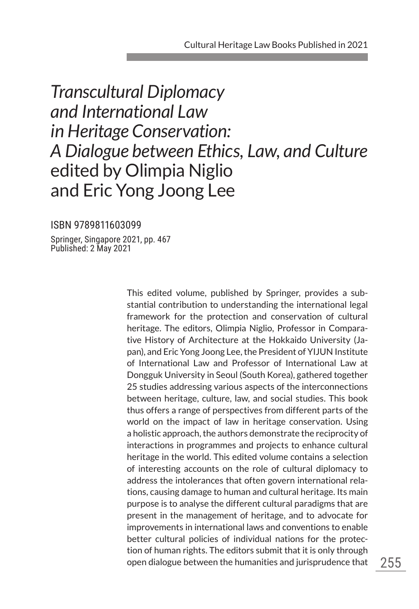# *Transcultural Diplomacy and International Law in Heritage Conservation: A Dialogue between Ethics, Law, and Culture* edited by Olimpia Niglio and Eric Yong Joong Lee

ISBN 9789811603099

Springer, Singapore 2021, pp. 467 Published: 2 May 2021

> This edited volume, published by Springer, provides a substantial contribution to understanding the international legal framework for the protection and conservation of cultural heritage. The editors, Olimpia Niglio, Professor in Comparative History of Architecture at the Hokkaido University (Japan), and Eric Yong Joong Lee, the President of YIJUN Institute of International Law and Professor of International Law at Dongguk University in Seoul (South Korea), gathered together 25 studies addressing various aspects of the interconnections between heritage, culture, law, and social studies. This book thus offers a range of perspectives from different parts of the world on the impact of law in heritage conservation. Using a holistic approach, the authors demonstrate the reciprocity of interactions in programmes and projects to enhance cultural heritage in the world. This edited volume contains a selection of interesting accounts on the role of cultural diplomacy to address the intolerances that often govern international relations, causing damage to human and cultural heritage. Its main purpose is to analyse the different cultural paradigms that are present in the management of heritage, and to advocate for improvements in international laws and conventions to enable better cultural policies of individual nations for the protection of human rights. The editors submit that it is only through open dialogue between the humanities and jurisprudence that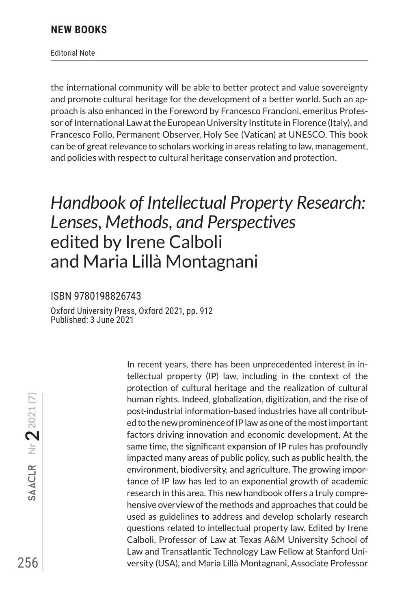Editorial Note

the international community will be able to better protect and value sovereignty and promote cultural heritage for the development of a better world. Such an approach is also enhanced in the Foreword by Francesco Francioni, emeritus Professor of International Law at the European University Institute in Florence (Italy), and Francesco Follo, Permanent Observer, Holy See (Vatican) at UNESCO. This book can be of great relevance to scholars working in areas relating to law, management, and policies with respect to cultural heritage conservation and protection.

# *Handbook of Intellectual Property Research: Lenses, Methods, and Perspectives* edited by Irene Calboli and Maria Lillà Montagnani

#### ISBN 9780198826743

Oxford University Press, Oxford 2021, pp. 912 Published: 3 June 2021

> In recent years, there has been unprecedented interest in intellectual property (IP) law, including in the context of the protection of cultural heritage and the realization of cultural human rights. Indeed, globalization, digitization, and the rise of post-industrial information-based industries have all contributed to the new prominence of IP law as one of the most important factors driving innovation and economic development. At the same time, the significant expansion of IP rules has profoundly impacted many areas of public policy, such as public health, the environment, biodiversity, and agriculture. The growing importance of IP law has led to an exponential growth of academic research in this area. This new handbook offers a truly comprehensive overview of the methods and approaches that could be used as guidelines to address and develop scholarly research questions related to intellectual property law. Edited by Irene Calboli, Professor of Law at Texas A&M University School of Law and Transatlantic Technology Law Fellow at Stanford University (USA), and Maria Lillà Montagnani, Associate Professor

**256**<br>256  $\mathsf{SAACLR}$  Nr  $2021(7)$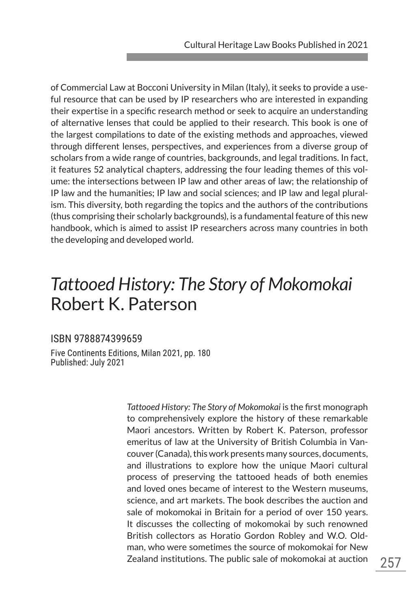of Commercial Law at Bocconi University in Milan (Italy), it seeks to provide a useful resource that can be used by IP researchers who are interested in expanding their expertise in a specific research method or seek to acquire an understanding of alternative lenses that could be applied to their research. This book is one of the largest compilations to date of the existing methods and approaches, viewed through different lenses, perspectives, and experiences from a diverse group of scholars from a wide range of countries, backgrounds, and legal traditions. In fact, it features 52 analytical chapters, addressing the four leading themes of this volume: the intersections between IP law and other areas of law; the relationship of IP law and the humanities; IP law and social sciences; and IP law and legal pluralism. This diversity, both regarding the topics and the authors of the contributions (thus comprising their scholarly backgrounds), is a fundamental feature of this new handbook, which is aimed to assist IP researchers across many countries in both the developing and developed world.

# *Tattooed History: The Story of Mokomokai* Robert K. Paterson

#### ISBN 9788874399659

Five Continents Editions, Milan 2021, pp. 180 Published: July 2021

> *Tattooed History: The Story of Mokomokai* is the first monograph to comprehensively explore the history of these remarkable Maori ancestors. Written by Robert K. Paterson, professor emeritus of law at the University of British Columbia in Vancouver (Canada), this work presents many sources, documents, and illustrations to explore how the unique Maori cultural process of preserving the tattooed heads of both enemies and loved ones became of interest to the Western museums, science, and art markets. The book describes the auction and sale of mokomokai in Britain for a period of over 150 years. It discusses the collecting of mokomokai by such renowned British collectors as Horatio Gordon Robley and W.O. Oldman, who were sometimes the source of mokomokai for New Zealand institutions. The public sale of mokomokai at auction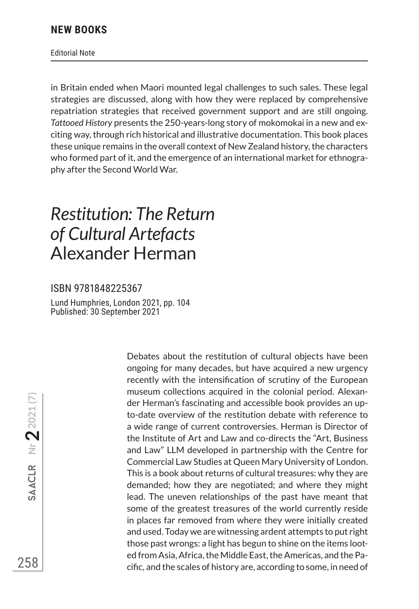Editorial Note

in Britain ended when Maori mounted legal challenges to such sales. These legal strategies are discussed, along with how they were replaced by comprehensive repatriation strategies that received government support and are still ongoing. *Tattooed History* presents the 250-years-long story of mokomokai in a new and exciting way, through rich historical and illustrative documentation. This book places these unique remains in the overall context of New Zealand history, the characters who formed part of it, and the emergence of an international market for ethnography after the Second World War.

### *Restitution: The Return of Cultural Artefacts* Alexander Herman

#### ISBN 9781848225367

Lund Humphries, London 2021, pp. 104 Published: 30 September 2021

> Debates about the restitution of cultural objects have been ongoing for many decades, but have acquired a new urgency recently with the intensification of scrutiny of the European museum collections acquired in the colonial period. Alexander Herman's fascinating and accessible book provides an upto-date overview of the restitution debate with reference to a wide range of current controversies. Herman is Director of the Institute of Art and Law and co-directs the "Art, Business and Law" LLM developed in partnership with the Centre for Commercial Law Studies at Queen Mary University of London. This is a book about returns of cultural treasures: why they are demanded; how they are negotiated; and where they might lead. The uneven relationships of the past have meant that some of the greatest treasures of the world currently reside in places far removed from where they were initially created and used. Today we are witnessing ardent attempts to put right those past wrongs: a light has begun to shine on the items looted from Asia, Africa, the Middle East, the Americas, and the Pacific, and the scales of history are, according to some, in need of

**2558**<br>258<br>258  $\texttt{SAACLR}$  Nr  $\textbf{2}$  2021 (7)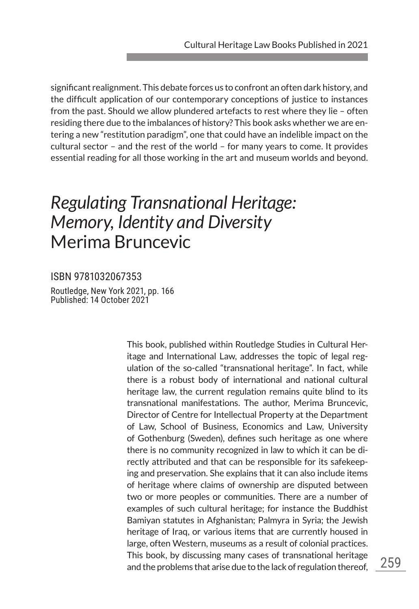significant realignment. This debate forces us to confront an often dark history, and the difficult application of our contemporary conceptions of justice to instances from the past. Should we allow plundered artefacts to rest where they lie – often residing there due to the imbalances of history? This book asks whether we are entering a new "restitution paradigm", one that could have an indelible impact on the cultural sector – and the rest of the world – for many years to come. It provides essential reading for all those working in the art and museum worlds and beyond.

# *Regulating Transnational Heritage: Memory, Identity and Diversity* Merima Bruncevic

ISBN 9781032067353 Routledge, New York 2021, pp. 166 Published: 14 October 2021

> This book, published within Routledge Studies in Cultural Heritage and International Law, addresses the topic of legal regulation of the so-called "transnational heritage". In fact, while there is a robust body of international and national cultural heritage law, the current regulation remains quite blind to its transnational manifestations. The author, Merima Bruncevic, Director of Centre for Intellectual Property at the Department of Law, School of Business, Economics and Law, University of Gothenburg (Sweden), defines such heritage as one where there is no community recognized in law to which it can be directly attributed and that can be responsible for its safekeeping and preservation. She explains that it can also include items of heritage where claims of ownership are disputed between two or more peoples or communities. There are a number of examples of such cultural heritage; for instance the Buddhist Bamiyan statutes in Afghanistan; Palmyra in Syria; the Jewish heritage of Iraq, or various items that are currently housed in large, often Western, museums as a result of colonial practices. This book, by discussing many cases of transnational heritage and the problems that arise due to the lack of regulation thereof,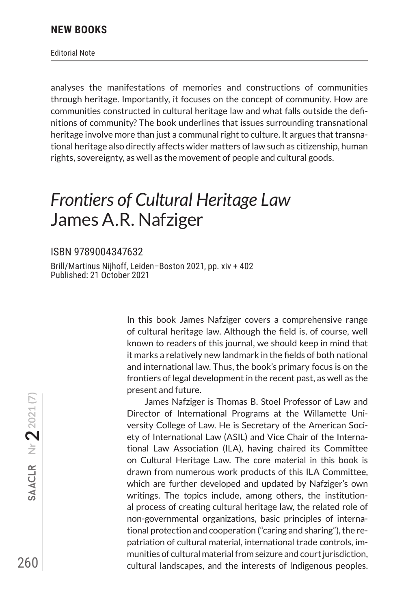Editorial Note

analyses the manifestations of memories and constructions of communities through heritage. Importantly, it focuses on the concept of community. How are communities constructed in cultural heritage law and what falls outside the definitions of community? The book underlines that issues surrounding transnational heritage involve more than just a communal right to culture. It argues that transnational heritage also directly affects wider matters of law such as citizenship, human rights, sovereignty, as well as the movement of people and cultural goods.

### *Frontiers of Cultural Heritage Law* James A.R. Nafziger

#### ISBN 9789004347632

Brill/Martinus Nijhoff, Leiden–Boston 2021, pp. xiv + 402 Published: 21 October 2021

> In this book James Nafziger covers a comprehensive range of cultural heritage law. Although the field is, of course, well known to readers of this journal, we should keep in mind that it marks a relatively new landmark in the fields of both national and international law. Thus, the book's primary focus is on the frontiers of legal development in the recent past, as well as the present and future.

> James Nafziger is Thomas B. Stoel Professor of Law and Director of International Programs at the Willamette University College of Law. He is Secretary of the American Society of International Law (ASIL) and Vice Chair of the International Law Association (ILA), having chaired its Committee on Cultural Heritage Law. The core material in this book is drawn from numerous work products of this ILA Committee, which are further developed and updated by Nafziger's own writings. The topics include, among others, the institutional process of creating cultural heritage law, the related role of non-governmental organizations, basic principles of international protection and cooperation ("caring and sharing"), the repatriation of cultural material, international trade controls, immunities of cultural material from seizure and court jurisdiction, cultural landscapes, and the interests of Indigenous peoples.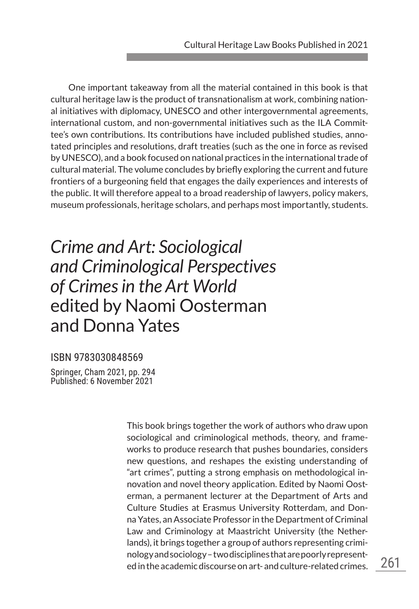One important takeaway from all the material contained in this book is that cultural heritage law is the product of transnationalism at work, combining national initiatives with diplomacy, UNESCO and other intergovernmental agreements, international custom, and non-governmental initiatives such as the ILA Committee's own contributions. Its contributions have included published studies, annotated principles and resolutions, draft treaties (such as the one in force as revised by UNESCO), and a book focused on national practices in the international trade of cultural material. The volume concludes by briefly exploring the current and future frontiers of a burgeoning field that engages the daily experiences and interests of the public. It will therefore appeal to a broad readership of lawyers, policy makers, museum professionals, heritage scholars, and perhaps most importantly, students.

# *Crime and Art: Sociological and Criminological Perspectives of Crimes in the Art World* edited by Naomi Oosterman and Donna Yates

#### ISBN 9783030848569

Springer, Cham 2021, pp. 294 Published: 6 November 2021

> This book brings together the work of authors who draw upon sociological and criminological methods, theory, and frameworks to produce research that pushes boundaries, considers new questions, and reshapes the existing understanding of "art crimes", putting a strong emphasis on methodological innovation and novel theory application. Edited by Naomi Oosterman, a permanent lecturer at the Department of Arts and Culture Studies at Erasmus University Rotterdam, and Donna Yates, an Associate Professor in the Department of Criminal Law and Criminology at Maastricht University (the Netherlands), it brings together a group of authors representing criminology and sociology – two disciplines that are poorly represented in the academic discourse on art- and culture-related crimes.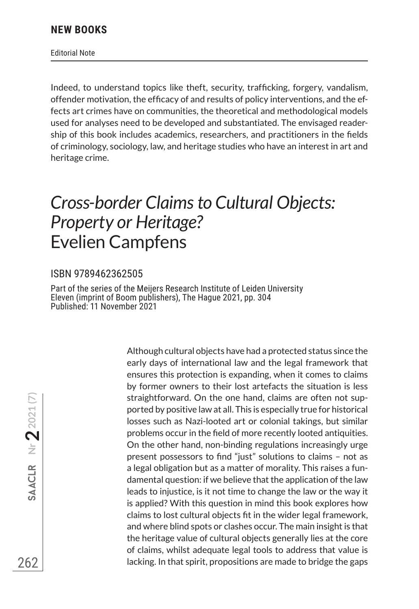Editorial Note

Indeed, to understand topics like theft, security, trafficking, forgery, vandalism, offender motivation, the efficacy of and results of policy interventions, and the effects art crimes have on communities, the theoretical and methodological models used for analyses need to be developed and substantiated. The envisaged readership of this book includes academics, researchers, and practitioners in the fields of criminology, sociology, law, and heritage studies who have an interest in art and heritage crime.

### *Cross-border Claims to Cultural Objects: Property or Heritage?* Evelien Campfens

#### ISBN 9789462362505

Part of the series of the Meijers Research Institute of Leiden University Eleven (imprint of Boom publishers), The Hague 2021, pp. 304 Published: 11 November 2021

> Although cultural objects have had a protected status since the early days of international law and the legal framework that ensures this protection is expanding, when it comes to claims by former owners to their lost artefacts the situation is less straightforward. On the one hand, claims are often not supported by positive law at all. This is especially true for historical losses such as Nazi-looted art or colonial takings, but similar problems occur in the field of more recently looted antiquities. On the other hand, non-binding regulations increasingly urge present possessors to find "just" solutions to claims – not as a legal obligation but as a matter of morality. This raises a fundamental question: if we believe that the application of the law leads to injustice, is it not time to change the law or the way it is applied? With this question in mind this book explores how claims to lost cultural objects fit in the wider legal framework, and where blind spots or clashes occur. The main insight is that the heritage value of cultural objects generally lies at the core of claims, whilst adequate legal tools to address that value is lacking. In that spirit, propositions are made to bridge the gaps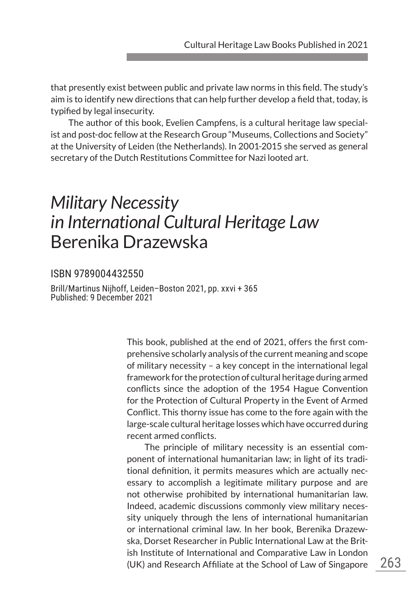that presently exist between public and private law norms in this field. The study's aim is to identify new directions that can help further develop a field that, today, is typified by legal insecurity.

The author of this book, Evelien Campfens, is a cultural heritage law specialist and post-doc fellow at the Research Group "Museums, Collections and Society" at the University of Leiden (the Netherlands). In 2001-2015 she served as general secretary of the Dutch Restitutions Committee for Nazi looted art.

### *Military Necessity in International Cultural Heritage Law* Berenika Drazewska

#### ISBN 9789004432550

Brill/Martinus Nijhoff, Leiden–Boston 2021, pp. xxvi + 365 Published: 9 December 2021

> This book, published at the end of 2021, offers the first comprehensive scholarly analysis of the current meaning and scope of military necessity – a key concept in the international legal framework for the protection of cultural heritage during armed conflicts since the adoption of the 1954 Hague Convention for the Protection of Cultural Property in the Event of Armed Conflict. This thorny issue has come to the fore again with the large-scale cultural heritage losses which have occurred during recent armed conflicts.

> The principle of military necessity is an essential component of international humanitarian law; in light of its traditional definition, it permits measures which are actually necessary to accomplish a legitimate military purpose and are not otherwise prohibited by international humanitarian law. Indeed, academic discussions commonly view military necessity uniquely through the lens of international humanitarian or international criminal law. In her book, Berenika Drazewska, Dorset Researcher in Public International Law at the British Institute of International and Comparative Law in London (UK) and Research Affiliate at the School of Law of Singapore